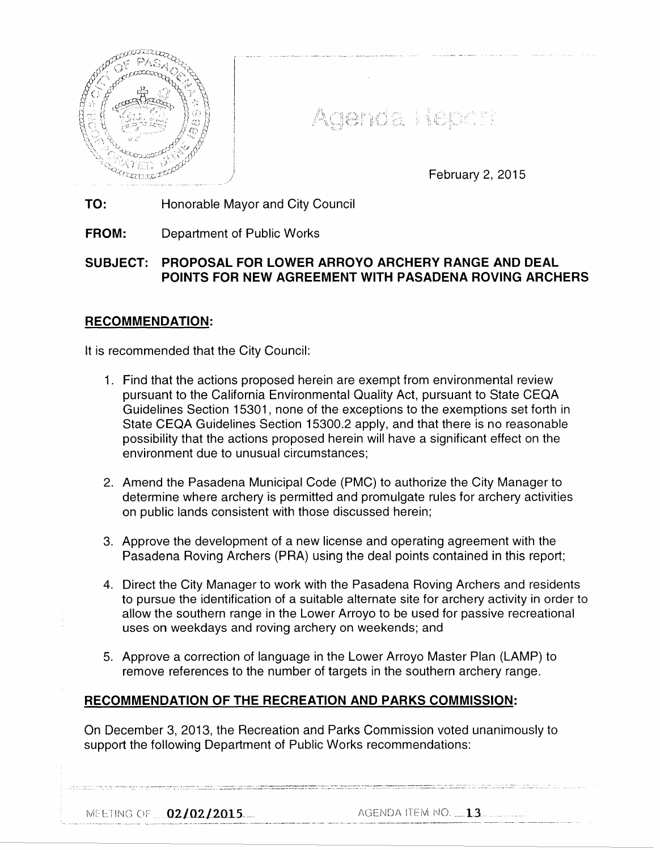

Agenda Report

February 2, 2015

**TO:** Honorable Mayor and City Council

**FROM:** Department of Public Works

# **SUBJECT: PROPOSAL FOR LOWER ARROYO ARCHERY RANGE AND DEAL POINTS FOR NEW AGREEMENT WITH PASADENA ROVING ARCHERS**

## **RECOMMENDATION:**

It is recommended that the City Council:

- 1. Find that the actions proposed herein are exempt from environmental review pursuant to the California Environmental Quality Act, pursuant to State CEQA Guidelines Section 15301, none of the exceptions to the exemptions set forth in State CEQA Guidelines Section 15300.2 apply, and that there is no reasonable possibility that the actions proposed herein will have a significant effect on the environment due to unusual circumstances;
- 2. Amend the Pasadena Municipal Code (PMC) to authorize the City Manager to determine where archery is permitted and promulgate rules for archery activities on public lands consistent with those discussed herein;
- 3. Approve the development of a new license and operating agreement with the Pasadena Roving Archers (PRA) using the deal points contained in this report;
- 4. Direct the City Manager to work with the Pasadena Roving Archers and residents to pursue the identification of a suitable alternate site for archery activity in order to allow the southern range in the Lower Arroyo to be used for passive recreational uses on weekdays and roving archery on weekends; and
- 5. Approve a correction of language in the Lower Arroyo Master Plan (LAMP) to remove references to the number of targets in the southern archery range.

# **RECOMMENDATION OF THE RECREATION AND PARKS COMMISSION:**

On December 3, 2013, the Recreation and Parks Commission voted unanimously to support the following Department of Public Works recommendations:

02/0212015-.- f-\GEI\JDA iTE!Vi i\10. -~-13 ·---·····--·-··· - ---·····-·-·-·---· ·-·····----------------·--·--·--------- -···· ···-··- ... ····-· -------------·----------··--···- -----· ·---· ·- ----- --·--·. . ..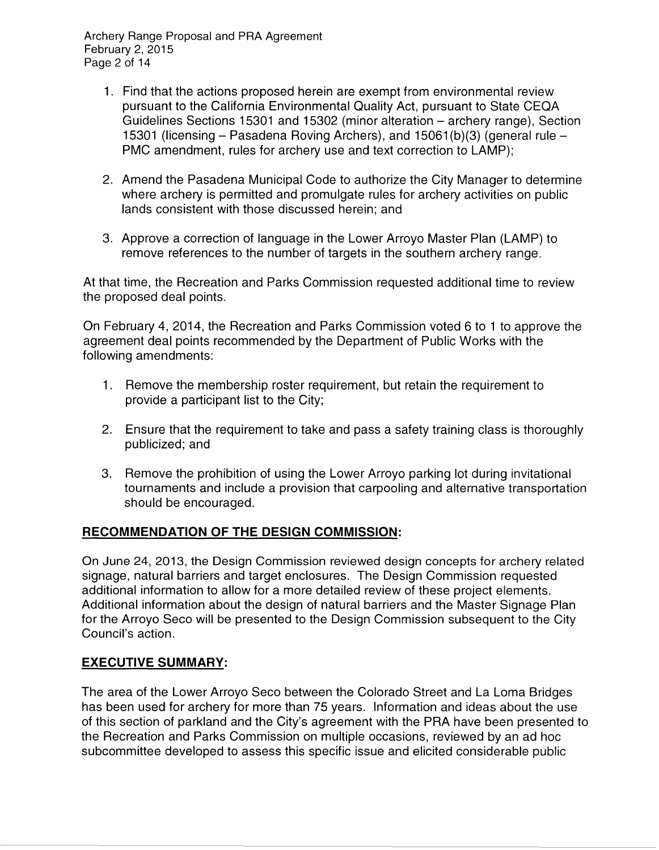Archery Range Proposal and PRA Agreement February 2, 2015 Page 2 of 14

- 1. Find that the actions proposed herein are exempt from environmental review pursuant to the California Environmental Quality Act, pursuant to State CEQA Guidelines Sections 15301 and 15302 (minor alteration- archery range), Section 15301 (licensing – Pasadena Roving Archers), and 15061(b)(3) (general rule – PMC amendment, rules for archery use and text correction to LAMP);
- 2. Amend the Pasadena Municipal Code to authorize the City Manager to determine where archery is permitted and promulgate rules for archery activities on public lands consistent with those discussed herein; and
- 3. Approve a correction of language in the Lower Arroyo Master Plan (LAMP) to remove references to the number of targets in the southern archery range.

At that time, the Recreation and Parks Commission requested additional time to review the proposed deal points.

On February 4, 2014, the Recreation and Parks Commission voted 6 to 1 to approve the agreement deal points recommended by the Department of Public Works with the following amendments:

- 1. Remove the membership roster requirement, but retain the requirement to provide a participant list to the City;
- 2. Ensure that the requirement to take and pass a safety training class is thoroughly publicized; and
- 3. Remove the prohibition of using the Lower Arroyo parking lot during invitational tournaments and include a provision that carpooling and alternative transportation should be encouraged.

# **RECOMMENDATION OF THE DESIGN COMMISSION:**

On June 24, 2013, the Design Commission reviewed design concepts for archery related signage, natural barriers and target enclosures. The Design Commission requested additional information to allow for a more detailed review of these project elements. Additional information about the design of natural barriers and the Master Signage Plan for the Arroyo Seco will be presented to the Design Commission subsequent to the City Council's action.

# **EXECUTIVE SUMMARY:**

The area of the Lower Arroyo Seco between the Colorado Street and La Loma Bridges has been used for archery for more than 75 years. Information and ideas about the use of this section of parkland and the City's agreement with the PRA have been presented to the Recreation and Parks Commission on multiple occasions, reviewed by an ad hoc subcommittee developed to assess this specific issue and elicited considerable public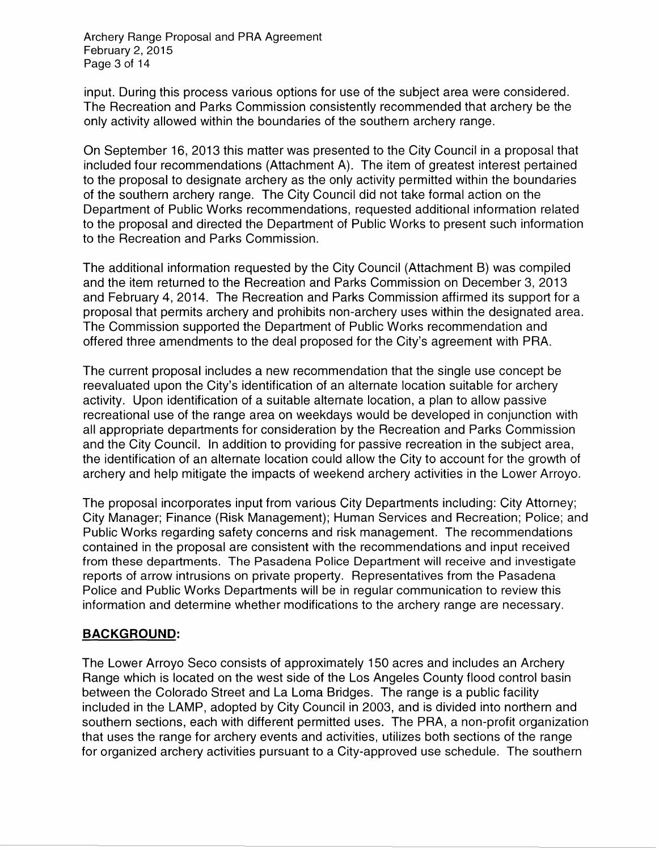Archery Range Proposal and PRA Agreement February 2, 2015 Page 3 of 14

input. During this process various options for use of the subject area were considered. The Recreation and Parks Commission consistently recommended that archery be the only activity allowed within the boundaries of the southern archery range.

On September 16, 2013 this matter was presented to the City Council in a proposal that included four recommendations (Attachment A). The item of greatest interest pertained to the proposal to designate archery as the only activity permitted within the boundaries of the southern archery range. The City Council did not take formal action on the Department of Public Works recommendations, requested additional information related to the proposal and directed the Department of Public Works to present such information to the Recreation and Parks Commission.

The additional information requested by the City Council (Attachment B) was compiled and the item returned to the Recreation and Parks Commission on December 3, 2013 and February 4, 2014. The Recreation and Parks Commission affirmed its support for a proposal that permits archery and prohibits non-archery uses within the designated area. The Commission supported the Department of Public Works recommendation and offered three amendments to the deal proposed for the City's agreement with PRA.

The current proposal includes a new recommendation that the single use concept be reevaluated upon the City's identification of an alternate location suitable for archery activity. Upon identification of a suitable alternate location, a plan to allow passive recreational use of the range area on weekdays would be developed in conjunction with all appropriate departments for consideration by the Recreation and Parks Commission and the City Council. In addition to providing for passive recreation in the subject area, the identification of an alternate location could allow the City to account for the growth of archery and help mitigate the impacts of weekend archery activities in the Lower Arroyo.

The proposal incorporates input from various City Departments including: City Attorney; City Manager; Finance (Risk Management); Human Services and Recreation; Police; and Public Works regarding safety concerns and risk management. The recommendations contained in the proposal are consistent with the recommendations and input received from these departments. The Pasadena Police Department will receive and investigate reports of arrow intrusions on private property. Representatives from the Pasadena Police and Public Works Departments will be in regular communication to review this information and determine whether modifications to the archery range are necessary.

# **BACKGROUND:**

The Lower Arroyo Seco consists of approximately 150 acres and includes an Archery Range which is located on the west side of the Los Angeles County flood control basin between the Colorado Street and La Loma Bridges. The range is a public facility included in the LAMP, adopted by City Council in 2003, and is divided into northern and southern sections, each with different permitted uses. The PRA, a non-profit organization that uses the range for archery events and activities, utilizes both sections of the range for organized archery activities pursuant to a City-approved use schedule. The southern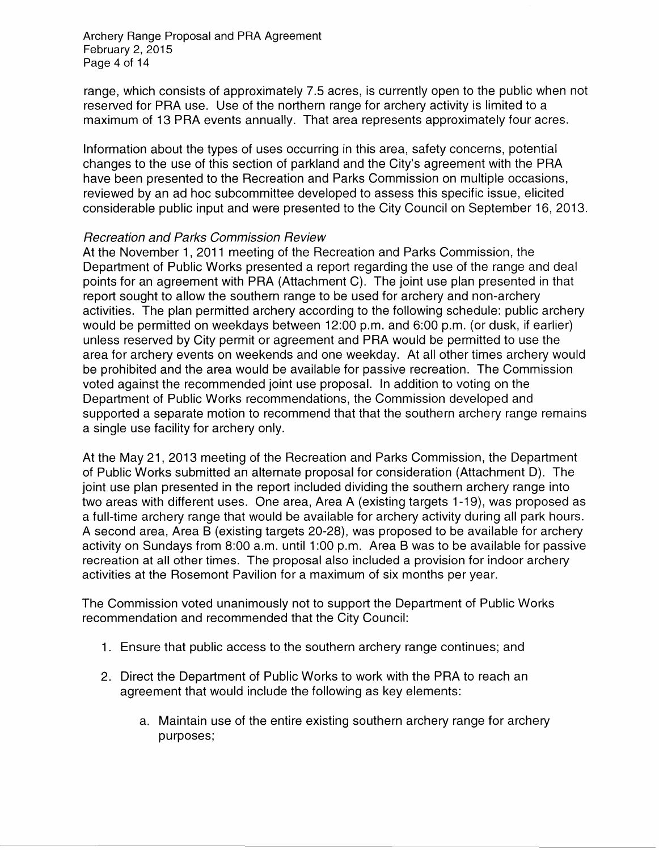Archery Range Proposal and PRA Agreement February 2, 2015 Page 4 of 14

range, which consists of approximately 7.5 acres, is currently open to the public when not reserved for PRA use. Use of the northern range for archery activity is limited to a maximum of 13 PRA events annually. That area represents approximately four acres.

Information about the types of uses occurring in this area, safety concerns, potential changes to the use of this section of parkland and the City's agreement with the PRA have been presented to the Recreation and Parks Commission on multiple occasions, reviewed by an ad hoc subcommittee developed to assess this specific issue, elicited considerable public input and were presented to the City Council on September 16, 2013.

#### Recreation and Parks Commission Review

At the November 1, 2011 meeting of the Recreation and Parks Commission, the Department of Public Works presented a report regarding the use of the range and deal points for an agreement with PRA (Attachment C). The joint use plan presented in that report sought to allow the southern range to be used for archery and non-archery activities. The plan permitted archery according to the following schedule: public archery would be permitted on weekdays between 12:00 p.m. and 6:00 p.m. (or dusk, if earlier) unless reserved by City permit or agreement and PRA would be permitted to use the area for archery events on weekends and one weekday. At all other times archery would be prohibited and the area would be available for passive recreation. The Commission voted against the recommended joint use proposal. In addition to voting on the Department of Public Works recommendations, the Commission developed and supported a separate motion to recommend that that the southern archery range remains a single use facility for archery only.

At the May 21, 2013 meeting of the Recreation and Parks Commission, the Department of Public Works submitted an alternate proposal for consideration (Attachment D). The joint use plan presented in the report included dividing the southern archery range into two areas with different uses. One area, Area A (existing targets 1-19), was proposed as a full-time archery range that would be available for archery activity during all park hours. A second area, Area B (existing targets 20-28), was proposed to be available for archery activity on Sundays from 8:00 a.m. until 1:00 p.m. Area B was to be available for passive recreation at all other times. The proposal also included a provision for indoor archery activities at the Rosemont Pavilion for a maximum of six months per year.

The Commission voted unanimously not to support the Department of Public Works recommendation and recommended that the City Council:

- 1. Ensure that public access to the southern archery range continues; and
- 2. Direct the Department of Public Works to work with the PRA to reach an agreement that would include the following as key elements:
	- a. Maintain use of the entire existing southern archery range for archery purposes;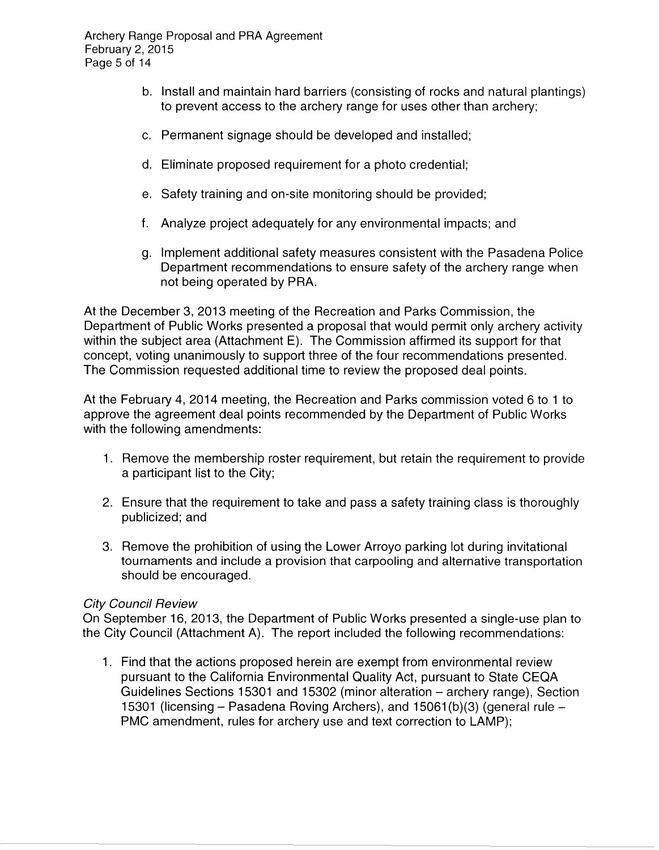Archery Range Proposal and PRA Agreement February 2, 2015 Page 5 of 14

- b. Install and maintain hard barriers (consisting of rocks and natural plantings) to prevent access to the archery range for uses other than archery;
- c. Permanent signage should be developed and installed;
- d. Eliminate proposed requirement for a photo credential;
- e. Safety training and on-site monitoring should be provided;
- f. Analyze project adequately for any environmental impacts; and
- g. Implement additional safety measures consistent with the Pasadena Police Department recommendations to ensure safety of the archery range when not being operated by PRA.

At the December 3, 2013 meeting of the Recreation and Parks Commission, the Department of Public Works presented a proposal that would permit only archery activity within the subject area (Attachment E). The Commission affirmed its support for that concept, voting unanimously to support three of the four recommendations presented. The Commission requested additional time to review the proposed deal points.

At the February 4, 2014 meeting, the Recreation and Parks commission voted 6 to 1 to approve the agreement deal points recommended by the Department of Public Works with the following amendments:

- 1. Remove the membership roster requirement, but retain the requirement to provide a participant list to the City;
- 2. Ensure that the requirement to take and pass a safety training class is thoroughly publicized; and
- 3. Remove the prohibition of using the Lower Arroyo parking lot during invitational tournaments and include a provision that carpooling and alternative transportation should be encouraged.

# City Council Review

On September 16, 2013, the Department of Public Works presented a single-use plan to the City Council (Attachment A). The report included the following recommendations:

1. Find that the actions proposed herein are exempt from environmental review pursuant to the California Environmental Quality Act, pursuant to State CEQA Guidelines Sections 15301 and 15302 (minor alteration- archery range), Section 15301 (licensing- Pasadena Roving Archers), and 15061 (b)(3) (general rule-PMC amendment, rules for archery use and text correction to LAMP);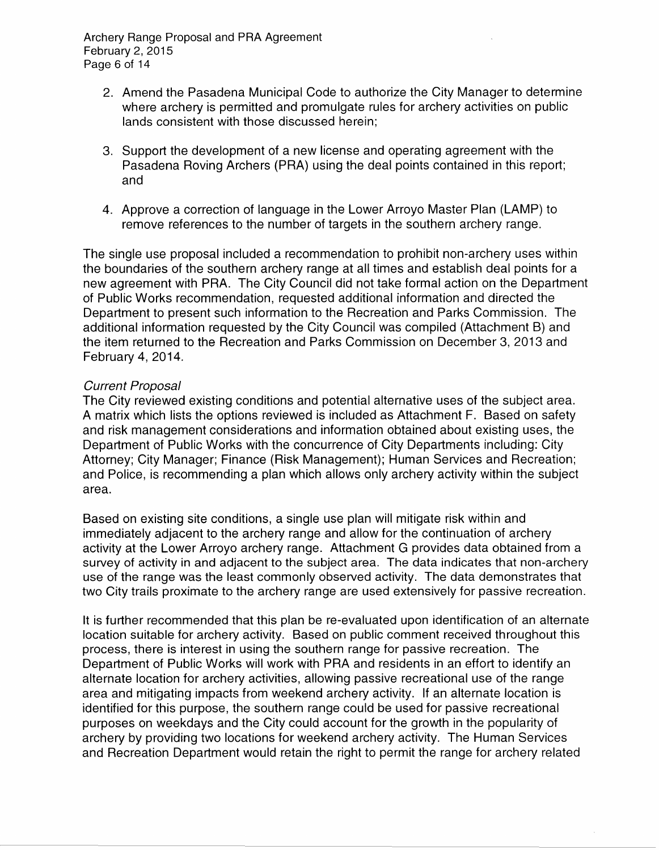Archery Range Proposal and PRA Agreement February 2, 2015 Page 6 of 14

- 2. Amend the Pasadena Municipal Code to authorize the City Manager to determine where archery is permitted and promulgate rules for archery activities on public lands consistent with those discussed herein;
- 3. Support the development of a new license and operating agreement with the Pasadena Roving Archers (PRA) using the deal points contained in this report; and
- 4. Approve a correction of language in the Lower Arroyo Master Plan (LAMP) to remove references to the number of targets in the southern archery range.

The single use proposal included a recommendation to prohibit non-archery uses within the boundaries of the southern archery range at all times and establish deal points for a new agreement with PRA. The City Council did not take formal action on the Department of Public Works recommendation, requested additional information and directed the Department to present such information to the Recreation and Parks Commission. The additional information requested by the City Council was compiled (Attachment B) and the item returned to the Recreation and Parks Commission on December 3, 2013 and February 4, 2014.

#### Current Proposal

The City reviewed existing conditions and potential alternative uses of the subject area. A matrix which lists the options reviewed is included as Attachment F. Based on safety and risk management considerations and information obtained about existing uses, the Department of Public Works with the concurrence of City Departments including: City Attorney; City Manager; Finance (Risk Management); Human Services and Recreation; and Police, is recommending a plan which allows only archery activity within the subject area.

Based on existing site conditions, a single use plan will mitigate risk within and immediately adjacent to the archery range and allow for the continuation of archery activity at the Lower Arroyo archery range. Attachment G provides data obtained from a survey of activity in and adjacent to the subject area. The data indicates that non-archery use of the range was the least commonly observed activity. The data demonstrates that two City trails proximate to the archery range are used extensively for passive recreation.

It is further recommended that this plan be re-evaluated upon identification of an alternate location suitable for archery activity. Based on public comment received throughout this process, there is interest in using the southern range for passive recreation. The Department of Public Works will work with PRA and residents in an effort to identify an alternate location for archery activities, allowing passive recreational use of the range area and mitigating impacts from weekend archery activity. If an alternate location is identified for this purpose, the southern range could be used for passive recreational purposes on weekdays and the City could account for the growth in the popularity of archery by providing two locations for weekend archery activity. The Human Services and Recreation Department would retain the right to permit the range for archery related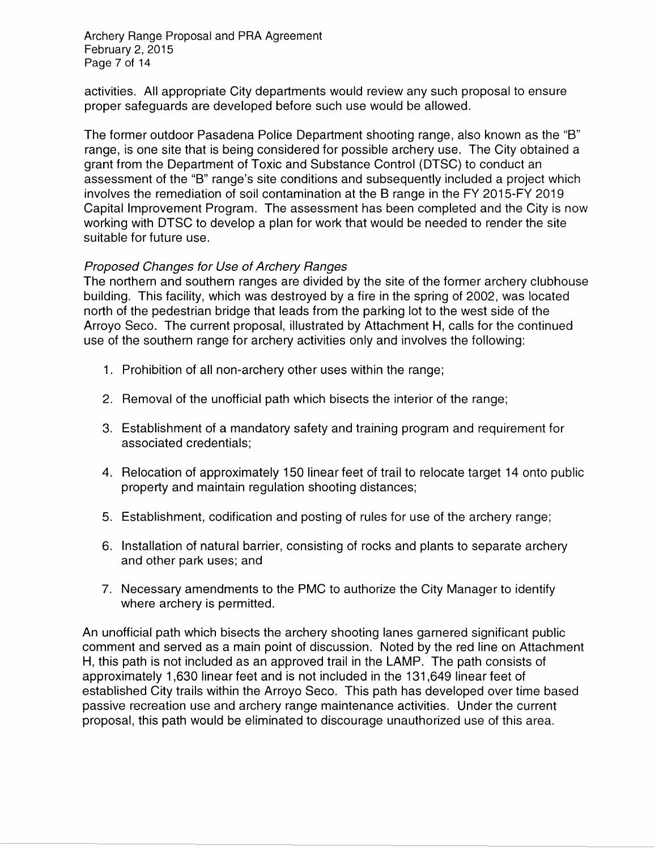Archery Range Proposal and PRA Agreement February 2, 2015 Page 7 of 14

activities. All appropriate City departments would review any such proposal to ensure proper safeguards are developed before such use would be allowed.

The former outdoor Pasadena Police Department shooting range, also known as the "B" range, is one site that is being considered for possible archery use. The City obtained a grant from the Department of Toxic and Substance Control (DTSC) to conduct an assessment of the "B" range's site conditions and subsequently included a project which involves the remediation of soil contamination at the B range in the FY 2015-FY 2019 Capital Improvement Program. The assessment has been completed and the City is now working with DTSC to develop a plan for work that would be needed to render the site suitable for future use.

## Proposed Changes tor Use of Archery Ranges

The northern and southern ranges are divided by the site of the former archery clubhouse building. This facility, which was destroyed by a fire in the spring of 2002, was located north of the pedestrian bridge that leads from the parking lot to the west side of the Arroyo Seco. The current proposal, illustrated by Attachment H, calls for the continued use of the southern range for archery activities only and involves the following:

- 1. Prohibition of all non-archery other uses within the range;
- 2. Removal of the unofficial path which bisects the interior of the range;
- 3. Establishment of a mandatory safety and training program and requirement for associated credentials;
- 4. Relocation of approximately 150 linear feet of trail to relocate target 14 onto public property and maintain regulation shooting distances;
- 5. Establishment, codification and posting of rules for use of the archery range;
- 6. Installation of natural barrier, consisting of rocks and plants to separate archery and other park uses; and
- 7. Necessary amendments to the PMC to authorize the City Manager to identify where archery is permitted.

An unofficial path which bisects the archery shooting lanes garnered significant public comment and served as a main point of discussion. Noted by the red line on Attachment H, this path is not included as an approved trail in the LAMP. The path consists of approximately 1 ,630 linear feet and is not included in the 131 ,649 linear feet of established City trails within the Arroyo Seco. This path has developed over time based passive recreation use and archery range maintenance activities. Under the current proposal, this path would be eliminated to discourage unauthorized use of this area.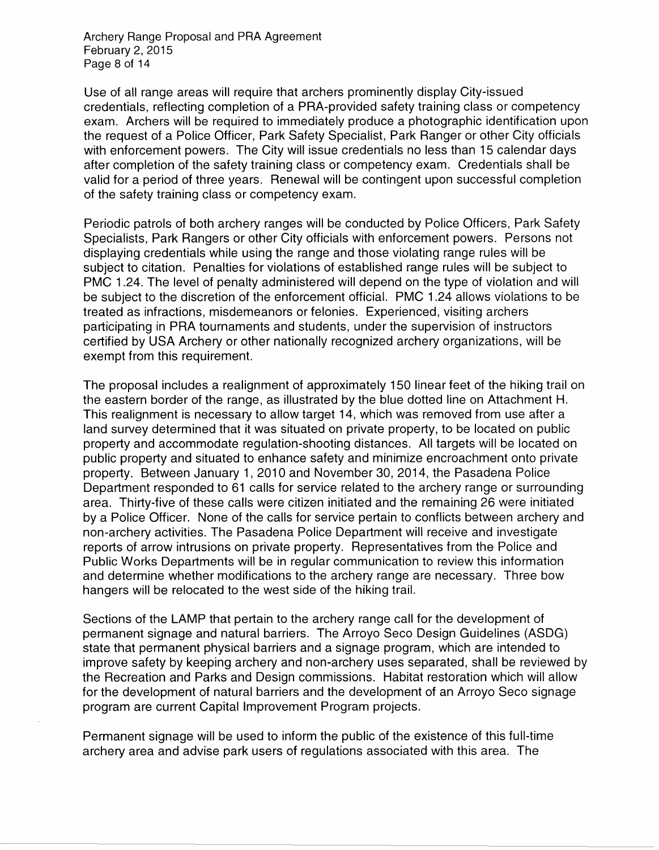Archery Range Proposal and PRA Agreement February 2, 2015 Page 8 of 14

Use of all range areas will require that archers prominently display City-issued credentials, reflecting completion of a PRA-provided safety training class or competency exam. Archers will be required to immediately produce a photographic identification upon the request of a Police Officer, Park Safety Specialist, Park Ranger or other City officials with enforcement powers. The City will issue credentials no less than 15 calendar days after completion of the safety training class or competency exam. Credentials shall be valid for a period of three years. Renewal will be contingent upon successful completion of the safety training class or competency exam.

Periodic patrols of both archery ranges will be conducted by Police Officers, Park Safety Specialists, Park Rangers or other City officials with enforcement powers. Persons not displaying credentials while using the range and those violating range rules will be subject to citation. Penalties for violations of established range rules will be subject to PMC 1.24. The level of penalty administered will depend on the type of violation and will be subject to the discretion of the enforcement official. PMC 1.24 allows violations to be treated as infractions, misdemeanors or felonies. Experienced, visiting archers participating in PRA tournaments and students, under the supervision of instructors certified by USA Archery or other nationally recognized archery organizations, will be exempt from this requirement.

The proposal includes a realignment of approximately 150 linear feet of the hiking trail on the eastern border of the range, as illustrated by the blue dotted line on Attachment H. This realignment is necessary to allow target 14, which was removed from use after a land survey determined that it was situated on private property, to be located on public property and accommodate regulation-shooting distances. All targets will be located on public property and situated to enhance safety and minimize encroachment onto private property. Between January 1, 2010 and November 30, 2014, the Pasadena Police Department responded to 61 calls for service related to the archery range or surrounding area. Thirty-five of these calls were citizen initiated and the remaining 26 were initiated by a Police Officer. None of the calls for service pertain to conflicts between archery and non-archery activities. The Pasadena Police Department will receive and investigate reports of arrow intrusions on private property. Representatives from the Police and Public Works Departments will be in regular communication to review this information and determine whether modifications to the archery range are necessary. Three bow hangers will be relocated to the west side of the hiking trail.

Sections of the LAMP that pertain to the archery range call for the development of permanent signage and natural barriers. The Arroyo Seco Design Guidelines (ASDG) state that permanent physical barriers and a signage program, which are intended to improve safety by keeping archery and non-archery uses separated, shall be reviewed by the Recreation and Parks and Design commissions. Habitat restoration which will allow for the development of natural barriers and the development of an Arroyo Seco signage program are current Capital Improvement Program projects.

Permanent signage will be used to inform the public of the existence of this full-time archery area and advise park users of regulations associated with this area. The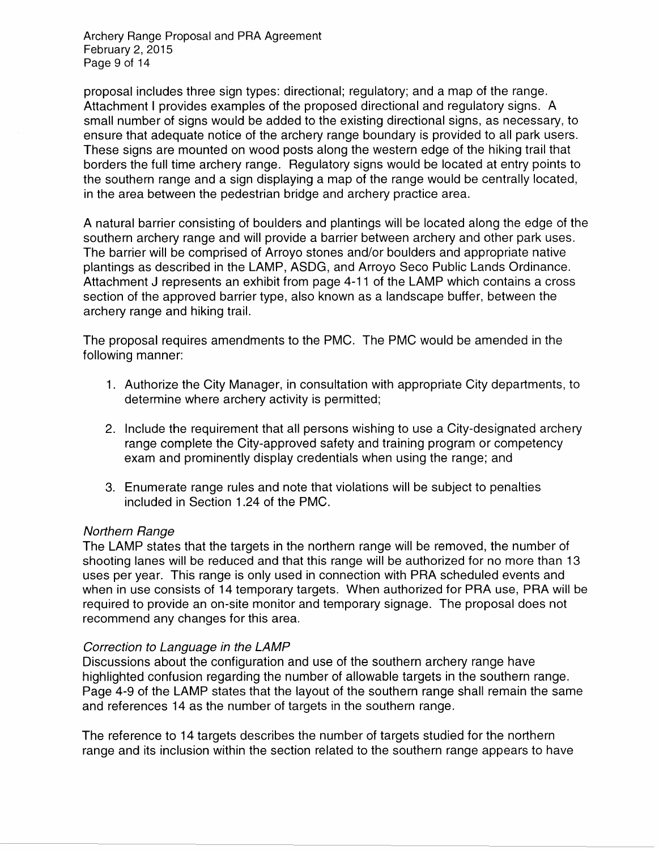Archery Range Proposal and PRA Agreement February 2, 2015 Page 9 of 14

proposal includes three sign types: directional; regulatory; and a map of the range. Attachment I provides examples of the proposed directional and regulatory signs. A small number of signs would be added to the existing directional signs, as necessary, to ensure that adequate notice of the archery range boundary is provided to all park users. These signs are mounted on wood posts along the western edge of the hiking trail that borders the full time archery range. Regulatory signs would be located at entry points to the southern range and a sign displaying a map of the range would be centrally located, in the area between the pedestrian bridge and archery practice area.

A natural barrier consisting of boulders and plantings will be located along the edge of the southern archery range and will provide a barrier between archery and other park uses. The barrier will be comprised of Arroyo stones and/or boulders and appropriate native plantings as described in the LAMP, ASDG, and Arroyo Seco Public Lands Ordinance. Attachment J represents an exhibit from page 4-11 of the LAMP which contains a cross section of the approved barrier type, also known as a landscape buffer, between the archery range and hiking trail.

The proposal requires amendments to the PMC. The PMC would be amended in the following manner:

- 1. Authorize the City Manager, in consultation with appropriate City departments, to determine where archery activity is permitted;
- 2. Include the requirement that all persons wishing to use a City-designated archery range complete the City-approved safety and training program or competency exam and prominently display credentials when using the range; and
- 3. Enumerate range rules and note that violations will be subject to penalties included in Section 1.24 of the PMC.

#### Northern Range

The LAMP states that the targets in the northern range will be removed, the number of shooting lanes will be reduced and that this range will be authorized for no more than 13 uses per year. This range is only used in connection with PRA scheduled events and when in use consists of 14 temporary targets. When authorized for PRA use, PRA will be required to provide an on-site monitor and temporary signage. The proposal does not recommend any changes for this area.

#### Correction to Language in the LAMP

Discussions about the configuration and use of the southern archery range have highlighted confusion regarding the number of allowable targets in the southern range. Page 4-9 of the LAMP states that the layout of the southern range shall remain the same and references 14 as the number of targets in the southern range.

The reference to 14 targets describes the number of targets studied for the northern range and its inclusion within the section related to the southern range appears to have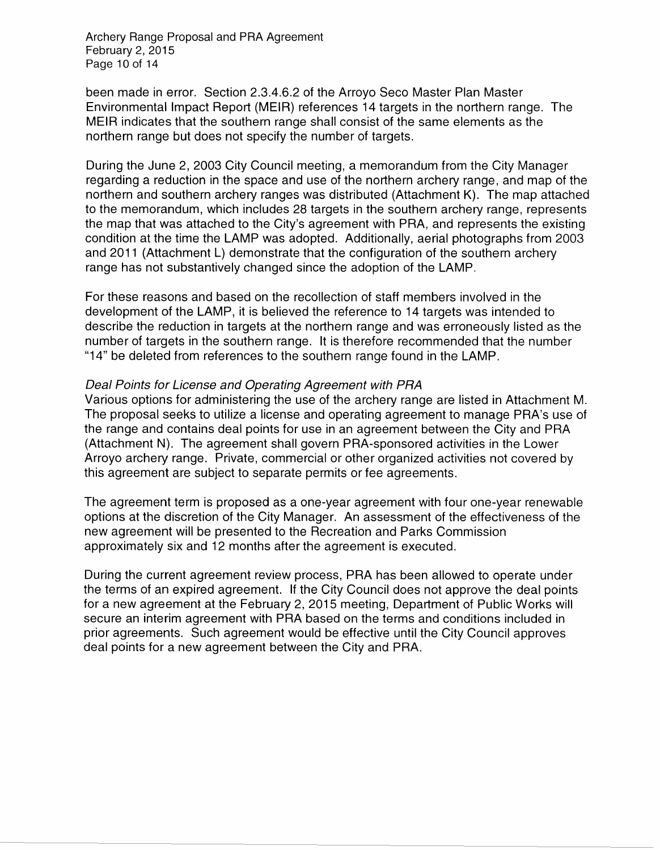Archery Range Proposal and PRA Agreement February 2, 2015 Page 10 of 14

been made in error. Section 2.3.4.6.2 of the Arroyo Seco Master Plan Master Environmental Impact Report (MEIR) references 14 targets in the northern range. The MEIR indicates that the southern range shall consist of the same elements as the northern range but does not specify the number of targets.

During the June 2, 2003 City Council meeting, a memorandum from the City Manager regarding a reduction in the space and use of the northern archery range, and map of the northern and southern archery ranges was distributed (Attachment K). The map attached to the memorandum, which includes 28 targets in the southern archery range, represents the map that was attached to the City's agreement with PRA, and represents the existing condition at the time the LAMP was adopted. Additionally, aerial photographs from 2003 and 2011 (Attachment L) demonstrate that the configuration of the southern archery range has not substantively changed since the adoption of the LAMP.

For these reasons and based on the recollection of staff members involved in the development of the LAMP, it is believed the reference to 14 targets was intended to describe the reduction in targets at the northern range and was erroneously listed as the number of targets in the southern range. It is therefore recommended that the number "14" be deleted from references to the southern range found in the LAMP.

#### Deal Points for License and Operating Agreement with PRA

Various options for administering the use of the archery range are listed in Attachment M. The proposal seeks to utilize a license and operating agreement to manage PRA's use of the range and contains deal points for use in an agreement between the City and PRA (Attachment N). The agreement shall govern PRA-sponsored activities in the Lower Arroyo archery range. Private, commercial or other organized activities not covered by this agreement are subject to separate permits or fee agreements.

The agreement term is proposed as a one-year agreement with four one-year renewable options at the discretion of the City Manager. An assessment of the effectiveness of the new agreement will be presented to the Recreation and Parks Commission approximately six and 12 months after the agreement is executed.

During the current agreement review process, PRA has been allowed to operate under the terms of an expired agreement. If the City Council does not approve the deal points for a new agreement at the February 2, 2015 meeting, Department of Public Works will secure an interim agreement with PRA based on the terms and conditions included in prior agreements. Such agreement would be effective until the City Council approves deal points for a new agreement between the City and PRA.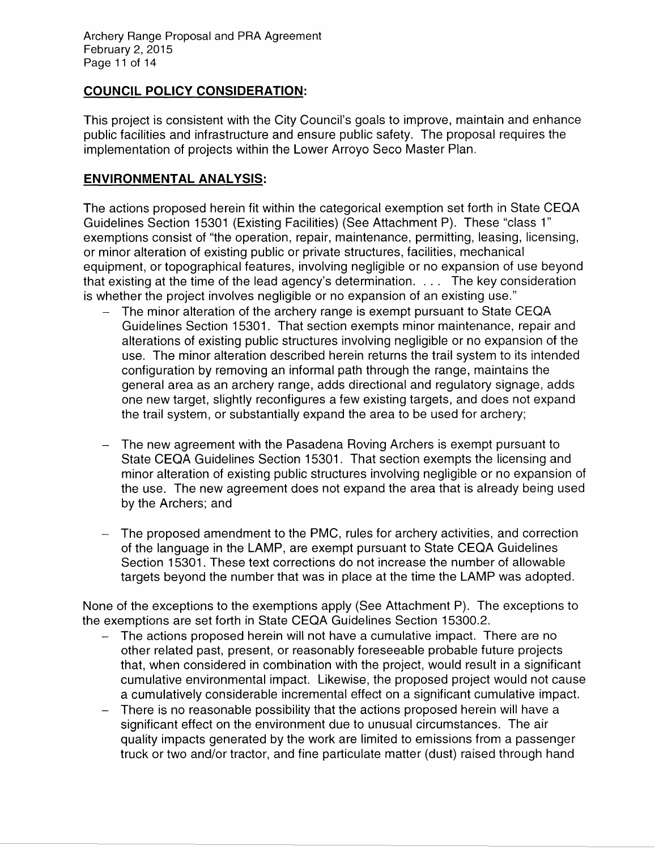Archery Range Proposal and PRA Agreement February 2, 2015 Page 11 of 14

# **COUNCIL POLICY CONSIDERATION:**

This project is consistent with the City Council's goals to improve, maintain and enhance public facilities and infrastructure and ensure public safety. The proposal requires the implementation of projects within the Lower Arroyo Seco Master Plan.

## **ENVIRONMENTAL ANALYSIS:**

The actions proposed herein fit within the categorical exemption set forth in State CEQA Guidelines Section 15301 (Existing Facilities) (See Attachment P). These "class 1" exemptions consist of "the operation, repair, maintenance, permitting, leasing, licensing, or minor alteration of existing public or private structures, facilities, mechanical equipment, or topographical features, involving negligible or no expansion of use beyond that existing at the time of the lead agency's determination. . . . The key consideration is whether the project involves negligible or no expansion of an existing use."

- The minor alteration of the archery range is exempt pursuant to State CEQA Guidelines Section 15301. That section exempts minor maintenance, repair and alterations of existing public structures involving negligible or no expansion of the use. The minor alteration described herein returns the trail system to its intended configuration by removing an informal path through the range, maintains the general area as an archery range, adds directional and regulatory signage, adds one new target, slightly reconfigures a few existing targets, and does not expand the trail system, or substantially expand the area to be used for archery;
- The new agreement with the Pasadena Roving Archers is exempt pursuant to State CEQA Guidelines Section 15301. That section exempts the licensing and minor alteration of existing public structures involving negligible or no expansion of the use. The new agreement does not expand the area that is already being used by the Archers; and
- The proposed amendment to the PMC, rules for archery activities, and correction of the language in the LAMP, are exempt pursuant to State CEQA Guidelines Section 15301. These text corrections do not increase the number of allowable targets beyond the number that was in place at the time the LAMP was adopted.

None of the exceptions to the exemptions apply (See Attachment P). The exceptions to the exemptions are set forth in State CEQA Guidelines Section 15300.2.

- The actions proposed herein will not have a cumulative impact. There are no other related past, present, or reasonably foreseeable probable future projects that, when considered in combination with the project, would result in a significant cumulative environmental impact. Likewise, the proposed project would not cause a cumulatively considerable incremental effect on a significant cumulative impact.
- There is no reasonable possibility that the actions proposed herein will have a significant effect on the environment due to unusual circumstances. The air quality impacts generated by the work are limited to emissions from a passenger truck or two and/or tractor, and fine particulate matter (dust) raised through hand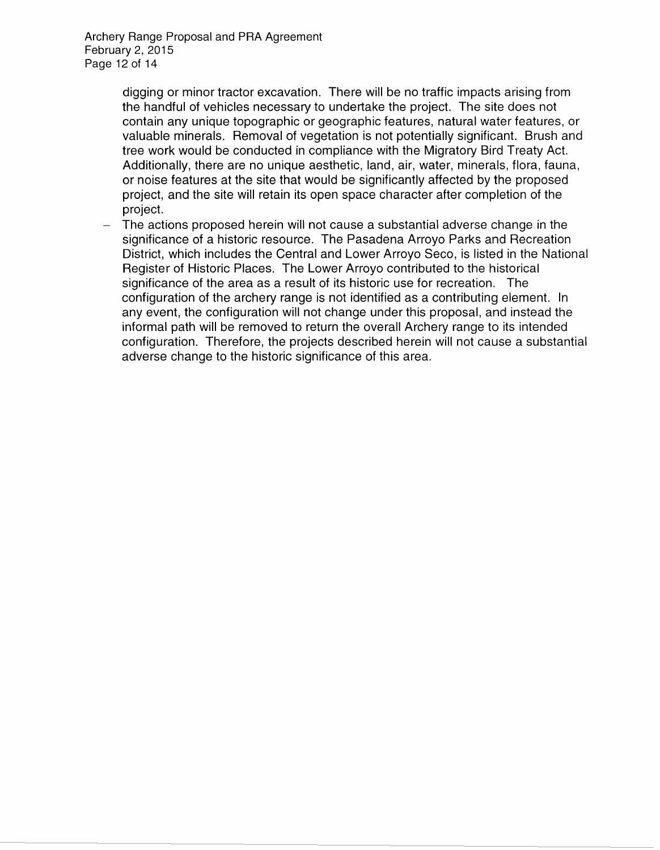Archery Range Proposal and PRA Agreement February 2, 2015 Page 12 of 14

> digging or minor tractor excavation. There will be no traffic impacts arising from the handful of vehicles necessary to undertake the project. The site does not contain any unique topographic or geographic features, natural water features, or valuable minerals. Removal of vegetation is not potentially significant. Brush and tree work would be conducted in compliance with the Migratory Bird Treaty Act. Additionally, there are no unique aesthetic, land, air, water, minerals, flora, fauna, or noise features at the site that would be significantly affected by the proposed project, and the site will retain its open space character after completion of the project.

The actions proposed herein will not cause a substantial adverse change in the significance of a historic resource. The Pasadena Arroyo Parks and Recreation District, which includes the Central and Lower Arroyo Seco, is listed in the National Register of Historic Places. The Lower Arroyo contributed to the historical significance of the area as a result of its historic use for recreation. The configuration of the archery range is not identified as a contributing element. In any event, the configuration will not change under this proposal, and instead the informal path will be removed to return the overall Archery range to its intended configuration. Therefore, the projects described herein will not cause a substantial adverse change to the historic significance of this area.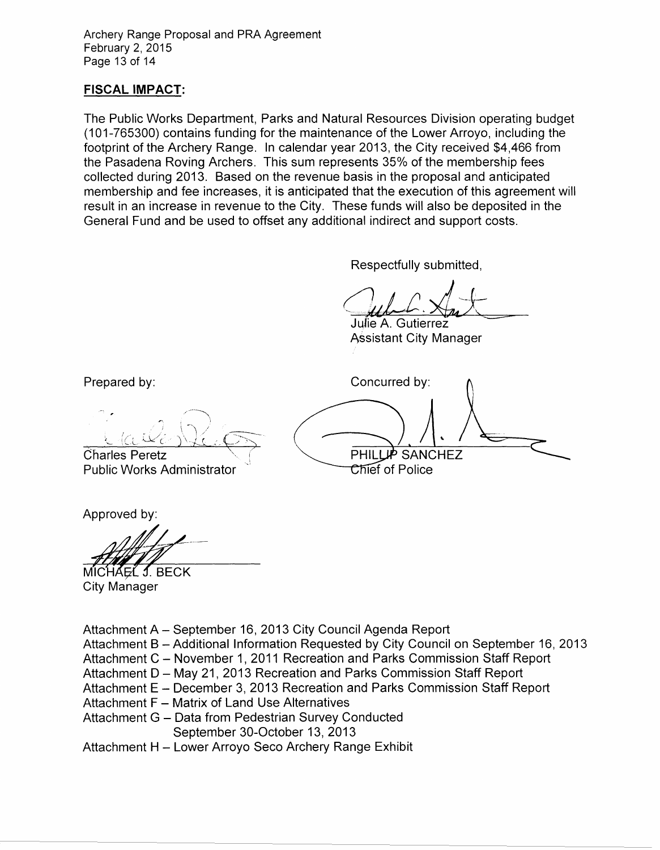Archery Range Proposal and PRA Agreement February 2, 2015 Page 13 of 14

## **FISCAL IMPACT:**

The Public Works Department, Parks and Natural Resources Division operating budget (1 01-765300) contains funding for the maintenance of the Lower Arroyo, including the footprint of the Archery Range. In calendar year 2013, the City received \$4,466 from the Pasadena Roving Archers. This sum represents 35% of the membership fees collected during 2013. Based on the revenue basis in the proposal and anticipated membership and fee increases, it is anticipated that the execution of this agreement will result in an increase in revenue to the City. These funds will also be deposited in the General Fund and be used to offset any additional indirect and support costs.

Respectfully submitted,

Jul C. Xm  $L. \nleq x$ 

JufieA. Gutierrez~ Assistant City Manager

Concurred by: PHILLUP SANCHEZ Chief of Police

Prepared by:

/~---~\  $\overline{\mathcal{C}^{\alpha}(\alpha\beta)}$ 

Charles Peretz Public Works Administrator

Approved by:

MICHAEL J. BECK City Manager

Attachment A- September 16, 2013 City Council Agenda Report

- Attachment B- Additional Information Requested by City Council on September 16, 2013
- Attachment C November 1, 2011 Recreation and Parks Commission Staff Report
- Attachment D May 21, 2013 Recreation and Parks Commission Staff Report
- Attachment E December 3, 2013 Recreation and Parks Commission Staff Report
- Attachment F Matrix of Land Use Alternatives
- Attachment G Data from Pedestrian Survey Conducted September 30-0ctober 13, 2013

Attachment H - Lower Arroyo Seco Archery Range Exhibit